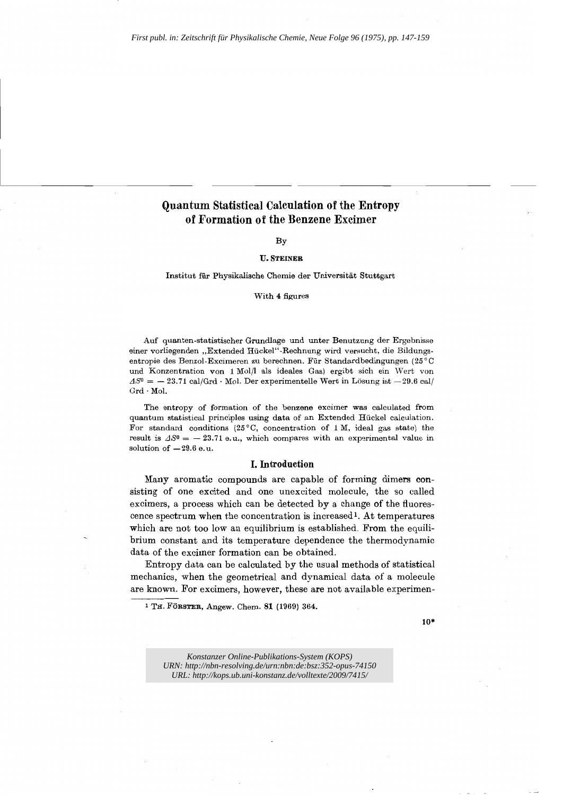# **Quantum Statistical Calculation of the Entropy of Formation of the Benzene Excimer**

# By

### **u.** STEINER

Institut für Physikalische Chemie der Universität Stuttgart

#### With 4 figures

Auf quanten-statistischer Grundlage und unter Benutzung der Ergebnisse einer vorliegenden "Extended Hückel"-Rechnung wird versucht, die Bildungsentropie des Benzol-Excimeren zu berechnen. Für Standardbedingungen (25°C und Konzentration von 1 Molll als ideales Gas) ergibt sich ein \Vert von  $\Delta S^0 = -23.71 \text{ cal/Grd} \cdot \text{Mol. Der experimentelle Wert in Lösung ist } -29.6 \text{ cal/}$ Grd· Mol.

The entropy of formation of the benzene excimer was calculated from quantum statistical principles using data of an Extended Ruckel calculation. For standard conditions (25°C, concentration of 1 M, ideal gas state) the result is  $\Delta S^0 = -23.71$  e.u., which compares with an experimental value in solution of  $-29.6$  e.u.

## **I. Introduction**

Many aromatic compounds are capable of forming dimers consisting of one excited and one unexcited molecule, the so called excimers, a process which can be detected by a change of the fluorescence spectrum when the concentration is increased <sup>l</sup> . At temperatures which are not too low an equilibrium is established. From the equilibrium constant and its temperature dependence the thermodynamic data of the excimer formation can be obtained.

Entropy data can be calculated by the usual methods of statistical mechanics, when the geometrical and dynamical data of a molecule are known. For excimers, however, these are not available experimen-

10·

*Konstanzer Online-Publikations-System (KOPS) URN:<http://nbn-resolving.de/urn:nbn:de:bsz:352-opus-74150> URL:<http://kops.ub.uni-konstanz.de/volltexte/2009/7415/>*

<sup>1</sup> TH. FORSTER, Angew. Chern. **81** (1969) 364.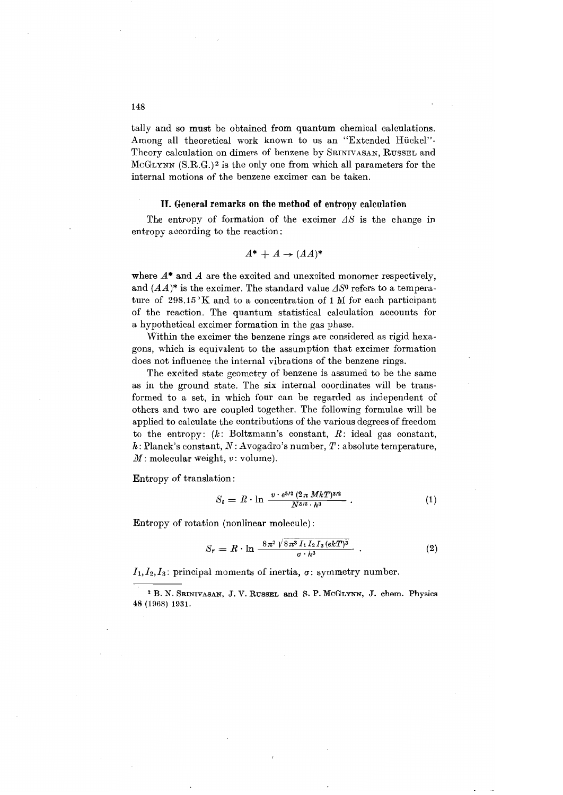tally and so must be obtained from quantum chemical calculations. Among all theoretical work known to us an "Extended Hückel"-Theory calculation on dimers of benzene by SRINIVASAN, RUSSEL and McGLYNN (S.R.G.)2 is the only one from which all parameters for the internal motions of the benzene excimer can be taken.

#### **II. General remarks on the method of entropy calculation**

The entropy of formation of the excimer  $\Delta S$  is the change in entropy according to the reaction:

$$
A^* + A \to (AA)^*
$$

where  $A^*$  and  $A$  are the excited and unexcited monomer respectively, and  $(AA)^*$  is the excimer. The standard value  $\Delta S^0$  refers to a temperature of 298.15°K and to a concentration of 1M for each participant of the reaction. The quantum statistical calculation accounts for a hypothetical excimer formation in the gas phase.

Within the excimer the benzene rings are considered as rigid hexagons, which is equivalent to the assumption that excimer formation does not influence the internal vibrations of the benzene rings.

The excited state geometry of benzene is assumed to be the same as in the ground state. The six internal coordinates will be transformed to a set, in which four can be regarded as independent of others and two are coupled together. The following formulae will be applied to calculate the contributions of the various degrees of freedom to the entropy:  $(k: Boltzmann's constant, R: ideal gas constant,$ *h:* Planck's constant, *N:* Avogadro's number, *T:* absolute temperature, *M*: molecular weight, v: volume).

Entropy of translation:

$$
S_t = R \cdot \ln \frac{v \cdot e^{5/2} (2 \pi M k T)^{3/2}}{N^{5/2} \cdot h^3} \,. \tag{1}
$$

Entropy of rotation (nonlinear molecule):

$$
S_r = R \cdot \ln \frac{8\pi^2 \sqrt{8\pi^3 I_1 I_2 I_3 (ekT)^3}}{\sigma \cdot h^3} \ . \qquad (2)
$$

 $I_1, I_2, I_3$ : principal moments of inertia,  $\sigma$ : symmetry number.

<sup>2</sup> B. N. SRINIVASAN, J. V. RUSSEL and S. P. MCGLYNN, J. chern. Physics 48 (1968) 1931.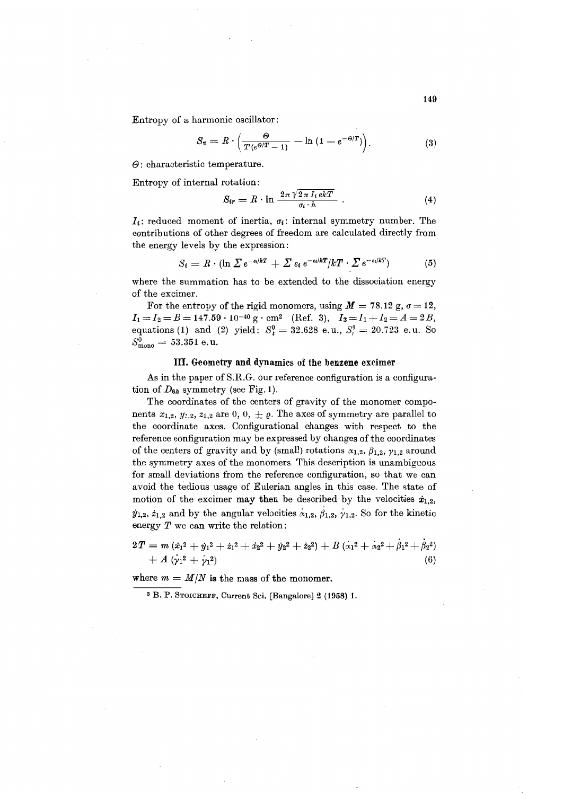Entropy of a harmonic oscillator:

$$
S_v = R \cdot \left( \frac{\Theta}{T(e^{\Theta/T} - 1)} - \ln(1 - e^{-\Theta/T}) \right).
$$
 (3)

 $\Theta$ : characteristic temperature.

Entropy of internal rotation:

$$
S_{ir} = R \cdot \ln \frac{2\pi \sqrt{2\pi I_i \, ekT}}{\sigma_i \cdot h} \ . \tag{4}
$$

 $I_i$ : reduced moment of inertia,  $\sigma_i$ : internal symmetry number. The contributions of other degrees of freedom are calculated directly from the energy levels by the expression:

$$
S_i = R \cdot (\ln \Sigma e^{-\epsilon_i/kT} + \Sigma \epsilon_i e^{-\epsilon_i/kT}/kT \cdot \Sigma e^{-\epsilon_i/kT}) \tag{5}
$$

where the summation has to be extended to the dissociation energy of the excimer.

For the entropy of the rigid monomers, using  $M = 78.12$  g,  $\sigma = 12$ ,  $I_1=I_2=B=147.59\cdot 10^{-40}$  g · cm<sup>2</sup> (Ref. 3),  $I_3=I_1+I_2=A=2B$ , equations (1) and (2) yield:  $S_t^0 = 32.628$  e.u.,  $S_r^0 = 20.723$  e.u. So  $S^0_{\rm mono} = 53.351$  e.u.

# **III.** Geometry **and** dynamics of the benzene excimer

As in the paper of S.R.G. our reference configuration is a configuration of  $D_{6h}$  symmetry (see Fig. 1).

The coordinates of the centers of gravity of the monomer components  $x_{1,2}, y_{1,2}, z_{1,2}$  are 0, 0,  $\pm \rho$ . The axes of symmetry are parallel to the coordinate axes. Configurational changes with respect to the reference configuration may be expressed by changes of the coordinates of the centers of gravity and by (small) rotations  $\alpha_{1,2}, \beta_{1,2}, \gamma_{1,2}$  around the symmetry axes of the monomers. This description is unambiguous for small deviations from the reference configuration, so that we can avoid the tedious usage of Eulerian angles in this case. The state of motion of the excimer may then be described by the velocities  $\dot{x}_{1,2}$ ,  $\dot{y}_{1,2}$ ,  $\dot{z}_{1,2}$  and by the angular velocities  $\dot{\alpha}_{1,2}$ ,  $\beta_{1,2}$ ,  $\gamma_{1,2}$ . So for the kinetic energy  $T$  we can write the relation:

$$
2T = m (\dot{x}_1^2 + \dot{y}_1^2 + \dot{z}_1^2 + \dot{x}_2^2 + \dot{y}_2^2 + \dot{z}_2^2) + B (\dot{x}_1^2 + \dot{x}_2^2 + \dot{\beta}_1^2 + \dot{\beta}_2^2) + A (\dot{y}_1^2 + \dot{y}_1^2)
$$
\n(6)

where  $m = M/N$  is the mass of the monomer.

<sup>3</sup> B. P. STOICHEFF, Current Sci. [Bangalore] 2 (1958) 1.

 $\sim 149$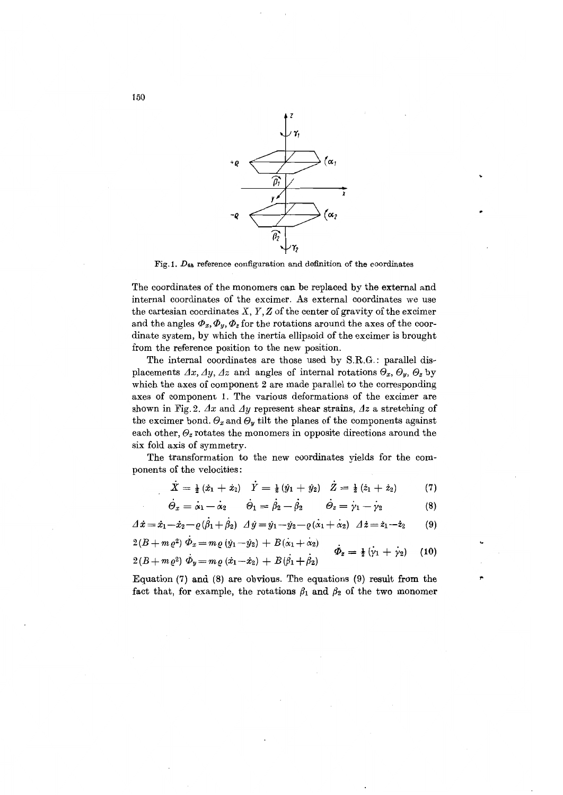

Fig. 1.  $D_{6\hbar}$  reference configuration and definition of the coordinates

The coordinates of the monomers can be replaced by the external and internal coordinates of the excimer. As external coordinates we use the cartesian coordinates  $X, Y, Z$  of the center of gravity of the excimer and the angles  $\Phi_x, \Phi_y, \Phi_z$  for the rotations around the axes of the coordinate system, by which the inertia ellipsoid of the excimer is brought from the reference position to the new position.

The internal coordinates are those used by S.R.G.: parallel displacements  $\varDelta x$ ,  $\varDelta y$ ,  $\varDelta z$  and angles of internal rotations  $\varTheta_x$ ,  $\varTheta_y$ ,  $\varTheta_z$  by which the axes of component 2 are made parallel to the corresponding axes of component 1. The various deformations of the excimer are shown in Fig. 2.  $\Delta x$  and  $\Delta y$  represent shear strains,  $\Delta z$  a stretching of the excimer bond.  $\Theta_x$  and  $\Theta_y$  tilt the planes of the components against each other,  $\Theta$ <sub>z</sub> rotates the monomers in opposite directions around the six fold axis of symmetry.

The transformation to the new coordinates yields for the components of the velocities:

$$
X = \frac{1}{2}(\dot{x}_1 + \dot{x}_2) \quad Y = \frac{1}{2}(\dot{y}_1 + \dot{y}_2) \quad Z = \frac{1}{2}(\dot{z}_1 + \dot{z}_2) \tag{7}
$$

$$
\dot{\Theta}_x = \dot{\alpha}_1 - \dot{\alpha}_2 \qquad \dot{\Theta}_1 = \dot{\beta}_2 - \dot{\beta}_2 \qquad \dot{\Theta}_z = \dot{\gamma}_1 - \dot{\gamma}_2 \qquad (8)
$$

(9)  $\Delta \dot{x} = \dot{x}_1 - \dot{x}_2 - \varrho (\dot{\beta}_1 + \dot{\beta}_2) \Delta \dot{y} = \dot{y}_1 - \dot{y}_2 - \varrho (\dot{\alpha}_1 + \dot{\alpha}_2) \Delta \dot{z} = \dot{z}_1 - \dot{z}_2$ 

$$
2(B + m\varrho^2) \dot{\Phi}_x = m\varrho (y_1 - \dot{y}_2) + B(\dot{\alpha}_1 + \dot{\alpha}_2) 2(B + m\varrho^2) \dot{\Phi}_y = m\varrho (x_1 - \dot{x}_2) + B(\dot{\beta}_1 + \dot{\beta}_2) \qquad \dot{\Phi}_z = \frac{1}{2} (\dot{\gamma}_1 + \dot{\gamma}_2)
$$
 (10)

Equation (7) and (8) are obvious. The equations (9) result from the fact that, for example, the rotations  $\beta_1$  and  $\beta_2$  of the two monomer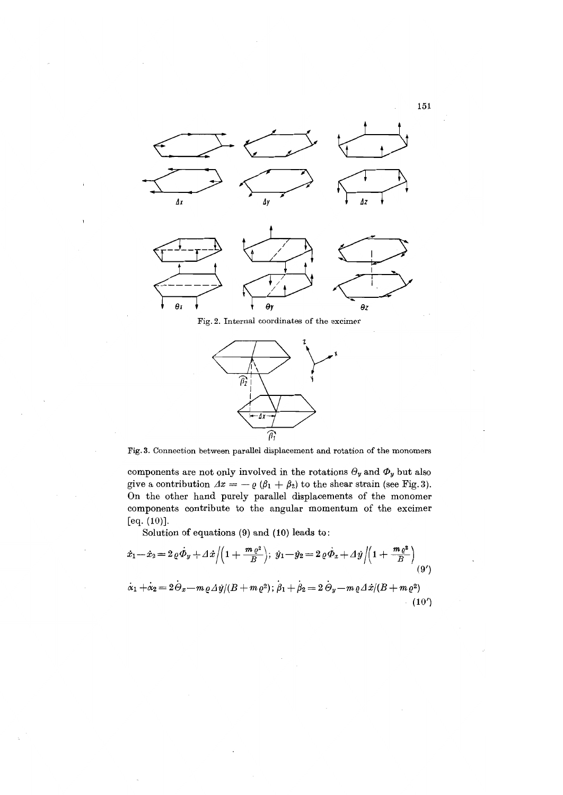

Fig. 2. Internal coordinates of the excimer



Fig. 3. Connection between parallel displacement and rotation of the monomers

components are not only involved in the rotations  $\Theta_y$  and  $\Phi_y$  but also give a contribution  $\Delta x = -\varrho (\beta_1 + \beta_2)$  to the shear strain (see Fig. 3). On the other hand purely parallel displacements of the monomer components contribute to the angular momentum of the excimer [eq. (10)].

Solution of equations (9) and (10) leads to:

$$
\dot{x}_1 - \dot{x}_2 = 2 \varrho \dot{\Phi}_y + \Delta \dot{x} / \left( 1 + \frac{m \varrho^2}{B} \right); \; \dot{y}_1 - \dot{y}_2 = 2 \varrho \dot{\Phi}_x + \Delta \dot{y} / \left( 1 + \frac{m \varrho^2}{B} \right) \tag{9'}
$$
\n
$$
\dot{\alpha}_1 + \dot{\alpha}_2 = 2 \dot{\Theta}_x - m \varrho \Delta \dot{y} / (B + m \varrho^2); \; \dot{\beta}_1 + \dot{\beta}_2 = 2 \dot{\Theta}_y - m \varrho \Delta \dot{x} / (B + m \varrho^2) \tag{10'}
$$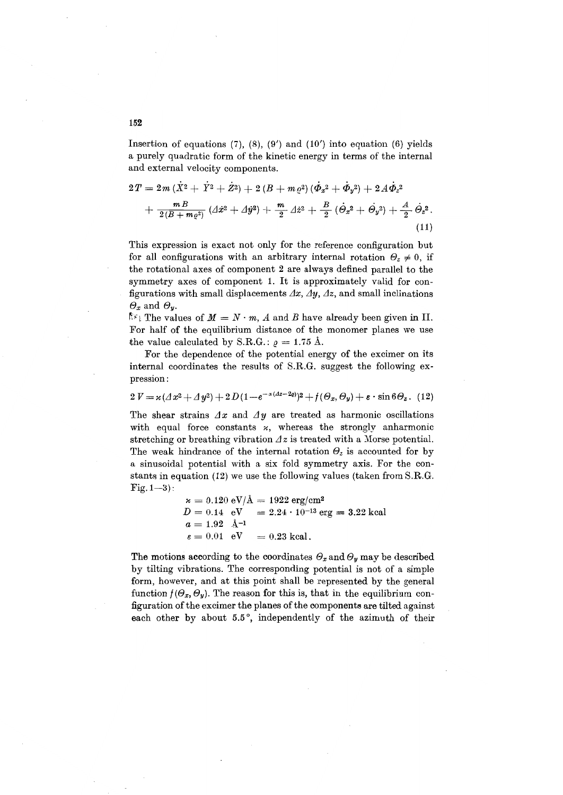Insertion of equations  $(7)$ ,  $(8)$ ,  $(9')$  and  $(10')$  into equation  $(6)$  yields a purely quadratic form of the kinetic energy in terms of the internal and external velocity components. 152<br>Insertion of equations (7), (8), (9') and (10') into equation (6)<br>a purely quadratic form of the kinetic energy in terms of the i<br>and external velocity components.<br> $2T = 2m (\dot{X}^2 + \dot{Y}^2 + \dot{Z}^2) + 2 (B + m \varrho^2) (\dot{\Phi}_x^2 +$ 

$$
2T = 2m(\dot{X}^2 + \dot{Y}^2 + \dot{Z}^2) + 2(B + m\varrho^2)(\dot{\Phi}_x{}^2 + \dot{\Phi}_y{}^2) + 2A\dot{\Phi}_z{}^2 + \frac{m}{2(B + m\varrho^2)}(A\dot{x}^2 + A\dot{y}^2) + \frac{m}{2}A\dot{z}^2 + \frac{B}{2}(\dot{\Theta}_x{}^2 + \dot{\Theta}_y{}^2) + \frac{A}{2}\dot{\Theta}_z{}^2.
$$
\n(11)

This expression is exact not only for the reference configuration but for all configurations with an arbitrary internal rotation  $\Theta_z \neq 0$ , if the rotational axes of component 2 are always defined parallel to the symmetry axes of component 1. It is approximately valid for configurations with small displacements  $\varDelta x$ ,  $\varDelta y$ ,  $\varDelta z$ , and small inclinations  $\Theta_x$  and  $\Theta_y$ .

 $\mathbb{R}^k$  The values of  $M = N \cdot m$ , A and B have already been given in II. For half of the equilibrium distance of the monomer planes we use the value calculated by S.R.G.:  $\rho = 1.75 \text{ Å}.$ 

For the dependence of the potential energy of the excimer on its internal coordinates the results of S.RG. suggest the following expression:

 $2 V = \varkappa (A x^2 + A y^2) + 2 D (1 - e^{-\alpha (A z - 2 \rho)})^2 + f(\Theta_x, \Theta_y) + \varepsilon \cdot \sin 6 \Theta_z$ . (12)

The shear strains  $\Delta x$  and  $\Delta y$  are treated as harmonic oscillations with equal force constants  $x$ , whereas the strongly anharmonic stretching or breathing vibration  $\Delta z$  is treated with a Morse potential. The weak hindrance of the internal rotation  $\Theta_z$  is accounted for by a sinusoidal potential with a six fold symmetry axis. For the constants in equation (12) we use the following values (taken from S.RG.  $Fig. 1-3$ :

> $\kappa = 0.120 \text{ eV/A} = 1922 \text{ erg/cm}^2$  $D = 0.14$  eV = 2.24  $\cdot$  10<sup>-13</sup> erg = 3.22 kcal  $a = 1.92 \text{ \AA}^{-1}$  $\varepsilon = 0.01$  eV = 0.23 kcal.

The motions according to the coordinates  $\theta_x$  and  $\theta_y$  may be described by tilting vibrations. The corresponding potential is not of a simple form, however, and at this point shall be represented by the general function  $f(\Theta_x, \Theta_y)$ . The reason for this is, that in the equilibrium configuration of the excimer the planes of the components are tilted against each other by about 5.5°, independently of the azimuth of their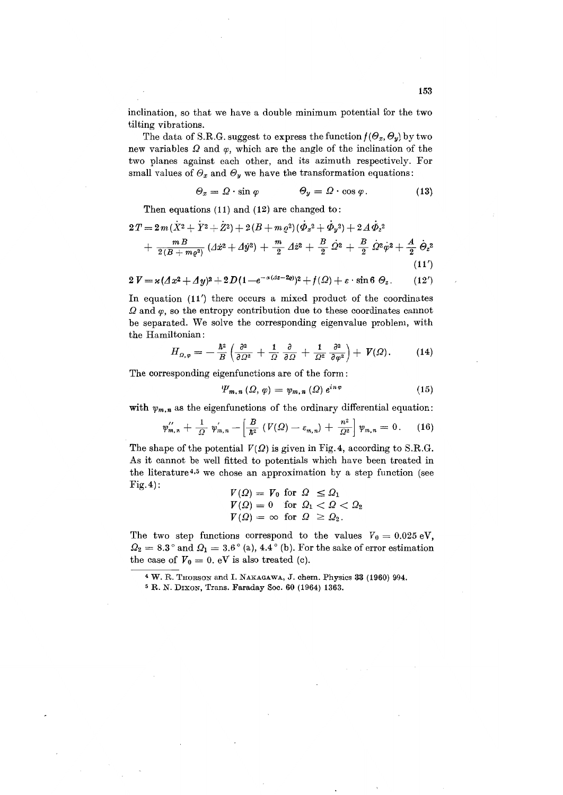inclination, so that we have a double minimum potential for the two tilting vibrations.

The data of S.R.G. suggest to express the function  $f(\Theta_x, \Theta_y)$  by two new variables  $\Omega$  and  $\varphi$ , which are the angle of the inclination of the two planes against each other, and its azimuth respectively. For small values of  $\Theta_x$  and  $\Theta_y$  we have the transformation equations:

$$
\Theta_x = \Omega \cdot \sin \varphi \qquad \Theta_y = \Omega \cdot \cos \varphi. \qquad (13)
$$

Then equations (11) and (12) are changed to:

$$
2T = 2m(\dot{X}^2 + \dot{Y}^2 + \dot{Z}^2) + 2(B + m\varrho^2)(\dot{\Phi}_x{}^2 + \dot{\Phi}_y{}^2) + 2A\dot{\Phi}_z{}^2 + \frac{m}{2(B + m\varrho^2)}(A\dot{x}^2 + A\dot{y}^2) + \frac{m}{2}A\dot{z}^2 + \frac{B}{2}\dot{\Omega}{}^2 + \frac{B}{2}\dot{\Omega}{}^2\dot{\varphi}{}^2 + \frac{A}{2}\dot{\Theta}_z{}^2
$$
(11')

$$
2 V = \varkappa (Ax^2 + Ay)^2 + 2D(1 - e^{-\alpha (Ax - 2\varrho)})^2 + f(\varOmega) + \varepsilon \cdot \sin \theta \vartheta_z.
$$
 (12')

In equation (11') there occurs a mixed product of the coordinates  $\Omega$  and  $\varphi$ , so the entropy contribution due to these coordinates cannot be separated. We solve the corresponding eigenvalue problem, with the Hamiltonian:

$$
H_{\Omega,\varphi}=-\frac{\hbar^2}{B}\left(\frac{\partial^2}{\partial\Omega^2}+\frac{1}{\Omega}\frac{\partial}{\partial\Omega}+\frac{1}{\Omega^2}\frac{\partial^2}{\partial\varphi^2}\right)+\mathit{V}(\Omega).\qquad (14)
$$

The corresponding eigenfunctions are of the form:

$$
\Psi_{m,n}(\Omega,\varphi)=\psi_{m,n}(\Omega)\,e^{in\varphi}\qquad\qquad(15)
$$

with 
$$
\psi_{m,n}
$$
 as the eigenfunctions of the ordinary differential equation:  
\n
$$
\psi_{m,n}^{\prime\prime} + \frac{1}{\Omega} \psi_{m,n}^{\prime} - \left[ \frac{B}{\hbar^2} \left( V(\Omega) - \varepsilon_{m,n} \right) + \frac{n^2}{\Omega^2} \right] \psi_{m,n} = 0. \quad (16)
$$

The shape of the potential  $V(\Omega)$  is given in Fig. 4, according to S.R.G. As it cannot be well fitted to potentials which have been treated in the literature<sup>4,5</sup> we chose an approximation by a step function (see Fig.4) :

$$
V(\Omega) = V_0 \text{ for } \Omega \leq \Omega_1
$$
  
\n
$$
V(\Omega) = 0 \text{ for } \Omega_1 < \Omega < \Omega_2
$$
  
\n
$$
V(\Omega) = \infty \text{ for } \Omega \geq \Omega_2.
$$

The two step functions correspond to the values  $V_0 = 0.025 \text{ eV}$ ,  $\Omega_2 = 8.3$  ° and  $\Omega_1 = 3.6$  ° (a), 4.4 ° (b). For the sake of error estimation the case of  $V_0 = 0$ . eV is also treated (c).

<sup>4</sup> W. R. THORSON and 1. NAKAGAWA, J. chern. Physics 33 (1960) 994.

<sup>5</sup> R. N. DIXON, Trans. Faraday Soc. 60 (1964) 1363.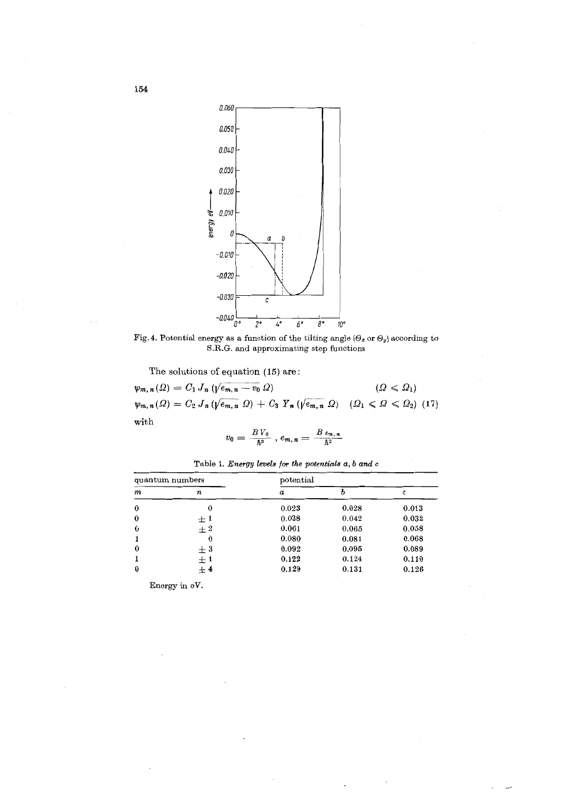

Fig. 4. Potential energy as a function of the tilting angle  $(\Theta_x \text{ or } \Theta_y)$  according to S.R.G. and approximating step functions

The solutions of equation (15) are:

 $\psi_{m,n}(\Omega) = C_1 J_n \left(\sqrt{e_{m,n} - v_0} \Omega\right)$  $\psi_{m,n}(\Omega) = C_2 J_n \left( \sqrt{e_{m,n}} \Omega \right) + C_3 Y_n \left( \sqrt{e_{m,n}} \Omega \right) \quad (\Omega_1 \leq \Omega \leq \Omega_2) \tag{17}$ with  $(\Omega \leqslant \Omega_1)$ 

$$
v_0 = \frac{B V_0}{\hbar^2} , e_{m,n} = \frac{B e_{m,n}}{\hbar^2}
$$

| quantum numbers |           | potential        |       |               |  |
|-----------------|-----------|------------------|-------|---------------|--|
| $\pmb{m}$       | $\pmb{n}$ | $\boldsymbol{a}$ |       | $\mathfrak c$ |  |
| $\bf{0}$        | 0         | 0.023            | 0.028 | 0.013         |  |
| $\bf{0}$        | $+1$      | 0.038            | 0.042 | 0.032         |  |
| $\bf{0}$        | $+2$      | 0.061            | 0.065 | 0.058         |  |
|                 | 0         | 0.080            | 0.081 | 0.068         |  |
| $\bf{0}$        | $\pm~3$   | 0.092            | 0.095 | 0.089         |  |
|                 | $\pm 1$   | 0.122            | 0.124 | 0.110         |  |
| $\bf{0}$        | $+4$      | 0.129            | 0.131 | 0.126         |  |

Table 1. *Energy levels for the potentials a, b and* c

Energy in *aV.*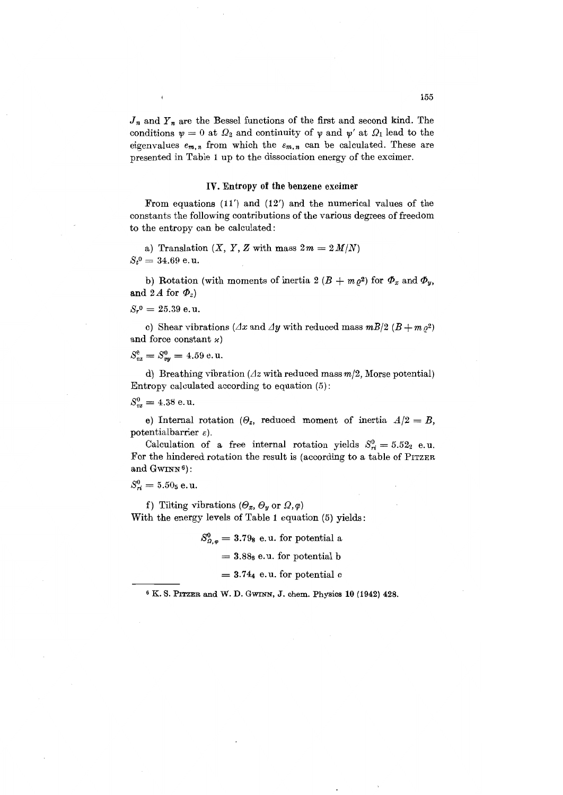$J_n$  and  $Y_n$  are the Bessel functions of the first and second kind. The conditions  $\psi = 0$  at  $\Omega_2$  and continuity of  $\psi$  and  $\psi'$  at  $\Omega_1$  lead to the eigenvalues  $e_{m,n}$  from which the  $\varepsilon_{m,n}$  can be calculated. These are presented in Table 1 up to the dissociation energy of the excimer.

## **IV.** Entropy of the benzene excimer

From equations (11') and (12') and the numerical values of the constants the following contributions of the various degrees of freedom to the entropy can be calculated:

a) Translation  $(X, Y, Z \text{ with mass } 2m = 2M/N)$  $S_t^0 = 34.69$  e.u.

b) Rotation (with moments of inertia 2  $(B + m \rho^2)$  for  $\Phi_x$  and  $\Phi_y$ , and 2*A* for  $\Phi_z$ )

 $S_r^0 = 25.39$  e.u.

c) Shear vibrations ( $\Delta x$  and  $\Delta y$  with reduced mass  $mB/2$  ( $B + m \rho^2$ ) and force constant  $\varkappa$ )

$$
S_{vx}^0 = S_{vy}^0 = 4.59 \text{ e.u.}
$$

d) Breathing vibration ( $\Delta z$  with reduced mass  $m/2$ , Morse potential) Entropy calculated according to equation (5):

 $S_{vz}^0 = 4.38$  e.u.

e) Internal rotation ( $\Theta_z$ , reduced moment of inertia  $A/2 = B$ , potentialbarrier  $\varepsilon$ ).

Calculation of a free internal rotation yields  $S_{ri}^0 = 5.52_2$  e.u. For the hindered rotation the result is (according to a table of PITZER and GWINN<sup>6</sup>):

 $S_{ri}^0 = 5.50$ <sub>5</sub> e.u.

f) Tilting vibrations ( $\Theta_x$ ,  $\Theta_y$  or  $\Omega$ ,  $\varphi$ ) With the energy levels of Table 1 equation (5) yields:

$$
S_{\Omega,\varphi}^0 = 3.79_8
$$
 e.u. for potential a

 $= 3.88<sub>8</sub>$  e.u. for potential b

 $= 3.74$ <sub>4</sub> e.u. for potential c

<sup>6</sup> K. S. PITZER and W. D. GWINN, J. chern, Physics **10** (1942) 428.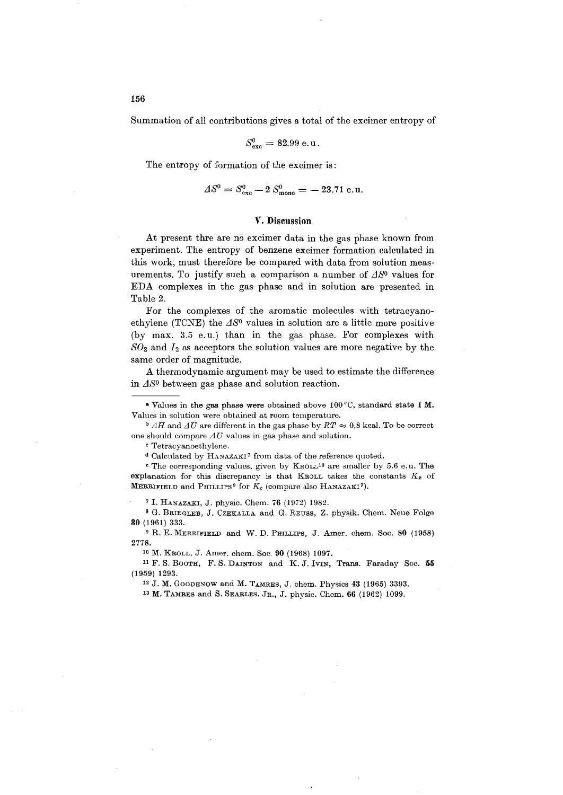Summation of all contributions gives a total of the excimer entropy of

$$
S^0_{\rm exc}=82.99\ \rm{e.u.}
$$

The entropy of formation of the excimer is:

$$
\Delta S^0 = S^0_{\text{exc}} - 2 S^0_{\text{mono}} = -23.71 \text{ e.u.}
$$

## V. Discussion

At present thre are no excimer data in the gas phase known from experiment. The entropy of benzene excimer formation calculated in this work, must therefore be compared with data from solution measurements. To justify such a comparison a number of  $\Delta S^0$  values for EDA complexes in the gas phase and in solution are presented in Table 2.

For the complexes of the aromatic molecules with tetracyanoethylene (TCNE) the  $\Delta S^0$  values in solution are a little more positive (by max. 3.5 e. u.) than in the gas phase. For complexes with  $SO<sub>2</sub>$  and  $I<sub>2</sub>$  as acceptors the solution values are more negative by the same order of magnitude.

A thermodynamic argument may be used to estimate the difference in  $\Delta S^0$  between gas phase and solution reaction.

a Values in the gas phase were obtained above 100°C, standard state 1 M. Values in solution were obtained at room temperature.

**b**  $\Delta H$  and  $\Delta U$  are different in the gas phase by  $RT \approx 0.8$  kcal. To be correct one should compare  $\Delta U$  values in gas phase and solution.

<sup>c</sup> Tetracyanoethylene.

<sup>d</sup> Calculated by HANAZAKI7 from data of the reference quoted.

<sup>e</sup> The corresponding values, given by KROLL10 are smaller by 5.6 e. u. The explanation for this discrepancy is that KROLL takes the constants  $K_x$  of **MERRIFIELD** and PHILLIPS<sup>9</sup> for  $K_c$  (compare also HANAZAKI<sup>7</sup>).

<sup>7</sup> I. HANAZAKI, J. physic. Chem. 76 (1972) 1982.

<sup>8</sup> G. BRIEGLEB, J. CZEKALLA and G. REUSS, Z. physik. Chern. Neue Folge 80 (1961) 333.

<sup>9</sup> R. E. MERRIFIELD and W. D. PHILLIPS, J. Amer. chem. Soc. 80 (1958) 2778.

<sup>10</sup> M. KROLL, J. Amer. chern. Soc. 90 (1968) 1097.

<sup>11</sup> F. S. BOOTH, F. S. DAINTON and K. J. IVIN, Trans. Faraday Soc. 55 (1959) 1293.

<sup>12</sup> J. M. GOODENOW and M. TAMRES, J. chern. Physics 43 (1965) 3393.

<sup>13</sup> M. TAMRES and S. SEARLES, JR., J. physic. Chern. 66 (1962) 1099.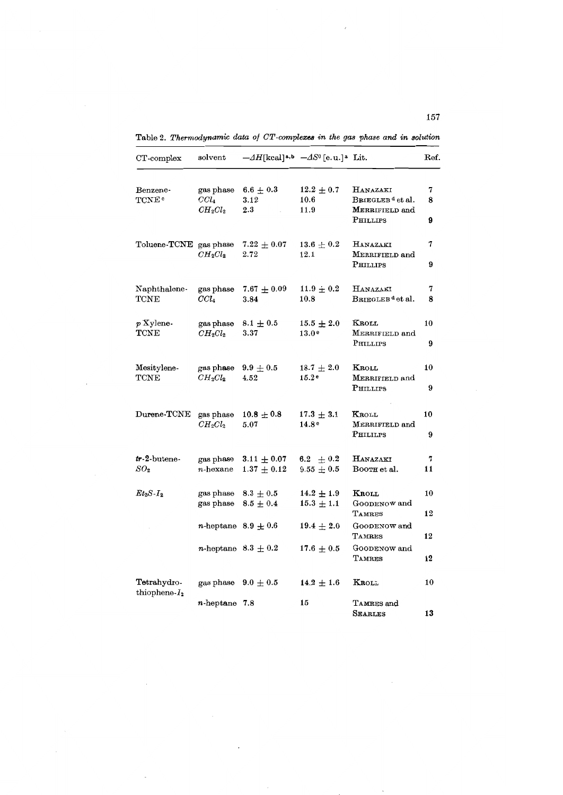| CT-complex                           | $_{\rm solvent}$                     | $-\Delta H$ [kcal] <sup>a,b</sup> $-\Delta S^0$ [e.u.] <sup>a</sup> Lit. |                                                   |                                                                               | Ref.        |
|--------------------------------------|--------------------------------------|--------------------------------------------------------------------------|---------------------------------------------------|-------------------------------------------------------------------------------|-------------|
| Benzene-<br><b>TCNE</b> •            | gas phase<br>$CCl_{4}$<br>$CH_2Cl_2$ | $6.6\,\pm\,0.3$<br>3.12<br>$2.3\,$                                       | $12.2\pm0.7$<br>10.6<br>11.9                      | <b>HANAZAKI</b><br>BRIEGLEB <sup>d</sup> et al.<br>MERRIFIELD and<br>PHILLIPS | 7<br>8<br>9 |
| Toluene-TCNE gas phase               | $CH_2Cl_2$                           | $7.22\pm0.07$<br>2.72                                                    | $13.6\pm0.2$<br>12.1                              | HANAZAKI<br>MERRIFIELD and<br>PHILLIPS                                        | 7<br>9      |
| Naphthalene-<br>$\rm TCNE$           | gas phase<br>$CCl_4$                 | $7.67 \pm 0.09$<br>3.84                                                  | $11.9 \pm 0.2$<br>10.8                            | HANAZAKI<br>BRIEGLEB <sup>d</sup> et al.                                      | 7<br>8      |
| $p$ Xylene-<br>$\text{{\bf TCNE}}$   | gas phase<br>$CH_2Cl_2$              | $8.1 \pm 0.5$<br>3.37                                                    | $15.5 \pm 2.0$<br>13.0 <sup>e</sup>               | Kroll<br>MERRIFIELD and<br>PHILLIPS                                           | 10<br>9     |
| Mesitylene-<br>$\operatorname{TCNE}$ | gas phase<br>$CH_2Cl_2$              | $9.9\pm0.5$<br>4.52                                                      | $18.7\,\pm\,2.0$<br>15.2 <sup>e</sup>             | Kroll<br>MERRIFIELD and<br>PHILLIPS                                           | 10<br>9     |
| Durene-TCNE                          | gas phase<br>$CH_2Cl_2$              | $10.8 \pm 0.8$<br>5.07                                                   | $17.3 \pm 3.1$<br>14.8 <sup>e</sup>               | KROLL<br>MERRIFIELD and<br>PHILILPS                                           | 10<br>9     |
| $tr-2$ -butene-<br>$SO_2$            | gas phase<br>$n$ -hexane             | $3.11 \pm 0.07$<br>$1.37\,\pm\,0.12$                                     | $6.2\phantom{0}\pm0.2\phantom{0}$<br>$9.55\pm0.5$ | HANAZAKI<br>Booth et al.                                                      | 7<br>11     |
| $Et_2S-I_2$                          | gas phase<br>gas phase               | $8.3 \pm 0.5$<br>$8.5 \pm 0.4$                                           | $14.2 \pm 1.9$<br>$15.3 \pm 1.1$                  | KROLL<br>GOODENOW and<br>TAMRES                                               | 10<br>12    |
|                                      | <i>n</i> -heptane $8.9 \pm 0.6$      |                                                                          | $19.4\pm2.0$                                      | GOODENOW and<br>TAMRES                                                        | 12          |
|                                      | <i>n</i> -heptane $8.3 \pm 0.2$      |                                                                          | $17.6\pm0.5$                                      | GOODENOW and<br>TAMRES                                                        | 12          |
| Tetrahydro-<br>thiophene- $I_2$      | gas phase                            | $9.0 \pm 0.5$                                                            | $14.2 \pm 1.6$                                    | KROLL                                                                         | 10          |
|                                      | $n$ -heptane 7.8                     |                                                                          | 15                                                | TAMRES and<br><b>SEARLES</b>                                                  | 13          |

Table 2. *Thermodynamic data of OT-complexes in the gas phase and in solution*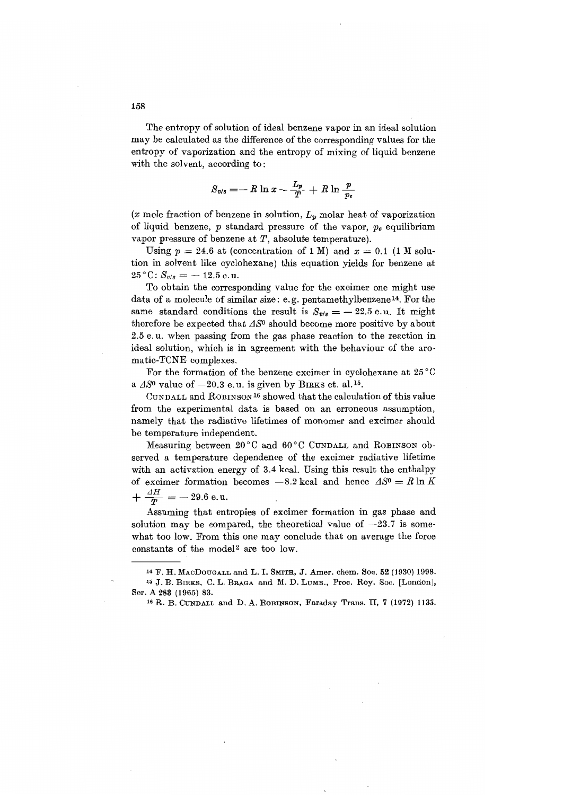The entropy of solution of ideal benzene vapor in an ideal solution may be calculated as the difference of the corresponding values for the entropy of vaporization and the entropy of mixing of liquid benzene with the solvent, according to:

$$
S_{v/s} = -R \ln x - \frac{L_p}{T} + R \ln \frac{p}{p_e}
$$

(x mole fraction of benzene in solution,  $L_p$  molar heat of vaporization of liquid benzene, *p* standard pressure of the vapor, *Pe* equilibrium vapor pressure of benzene at  $T$ , absolute temperature).

Using  $p = 24.6$  at (concentration of 1 M) and  $x = 0.1$  (1 M solution in solvent like cyclohexane) this equation yields for benzene at  $25^{\circ}$ C:  $S_{\nu/s} = -12.5$  e.u.

To obtain the corresponding value for the excimer one might use data of a molecule of similar size: e. g. pentamethylbenzene 14. For the same standard conditions the result is  $S_{\nu/s} = -22.5$  e.u. It might therefore be expected that  $\Delta S^0$  should become more positive by about 2.5 e. u. when passing from the gas phase reaction to the reaction in ideal solution, which is in agreement with the behaviour of the aromatic-TCNE complexes.

For the formation of the benzene excimer in cyclohexane at  $25^{\circ}$ C a  $\Delta S^0$  value of  $-20.3$  e.u. is given by BIRKS et. al.<sup>15</sup>.

CUNDALL and ROBINSON16 showed that the calculation of this value from the experimental data is based on an erroneous assumption, namely that the radiative lifetimes of monomer and excimer should be temperature independent.

Measuring between 20°C and 60°C CUNDALL and ROBINSON observed a temperature dependence of the excimer radiative lifetime with an activation energy of 3.4 kcal. Using this result the enthalpy of excimer formation becomes  $-8.2$  kcal and hence  $\Delta S^0 = R \ln K$  $+\frac{\Delta H}{T} = -29.6 \text{ e.u.}$ 

Assuming that entropies of excimer formation in gas phase and solution may be compared, the theoretical value of  $-23.7$  is somewhat too low. From this one may conclude that on average the force constants of the mode12 are too low.

<sup>14</sup> F. H. MACDOUGALL and L. 1. SMITH, J. Arner. chern. Soc. 52 (1930) 1998. <sup>15</sup> J. B. BIRKS, C. L. BRAGA and M. D. LUMB., Proc. Roy. Soc. [London], Ser. A 283 (1965) 83.

<sup>&</sup>lt;sup>16</sup> R. B. CUNDALL and D. A. ROBINSON, Faraday Trans. II, 7 (1972) 1133.